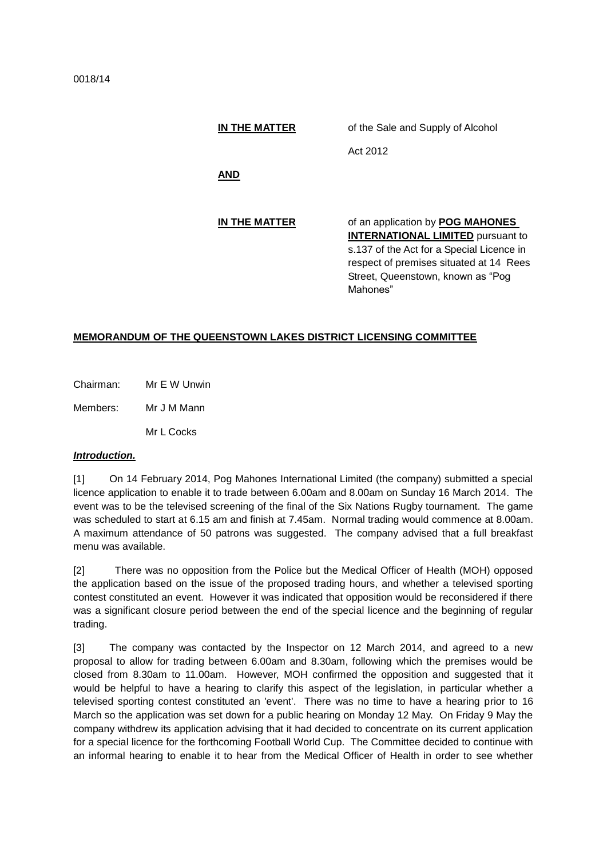# **IN THE MATTER** of the Sale and Supply of Alcohol Act 2012

**AND**

**IN THE MATTER** of an application by **POG MAHONES INTERNATIONAL LIMITED** pursuant to s.137 of the Act for a Special Licence in respect of premises situated at 14 Rees Street, Queenstown, known as "Pog Mahones"

## **MEMORANDUM OF THE QUEENSTOWN LAKES DISTRICT LICENSING COMMITTEE**

Chairman: Mr E W Unwin

Members: Mr J M Mann

Mr<sub>1</sub> Cocks

#### *Introduction.*

[1] On 14 February 2014, Pog Mahones International Limited (the company) submitted a special licence application to enable it to trade between 6.00am and 8.00am on Sunday 16 March 2014. The event was to be the televised screening of the final of the Six Nations Rugby tournament. The game was scheduled to start at 6.15 am and finish at 7.45am. Normal trading would commence at 8.00am. A maximum attendance of 50 patrons was suggested. The company advised that a full breakfast menu was available.

[2] There was no opposition from the Police but the Medical Officer of Health (MOH) opposed the application based on the issue of the proposed trading hours, and whether a televised sporting contest constituted an event. However it was indicated that opposition would be reconsidered if there was a significant closure period between the end of the special licence and the beginning of regular trading.

[3] The company was contacted by the Inspector on 12 March 2014, and agreed to a new proposal to allow for trading between 6.00am and 8.30am, following which the premises would be closed from 8.30am to 11.00am. However, MOH confirmed the opposition and suggested that it would be helpful to have a hearing to clarify this aspect of the legislation, in particular whether a televised sporting contest constituted an 'event'. There was no time to have a hearing prior to 16 March so the application was set down for a public hearing on Monday 12 May. On Friday 9 May the company withdrew its application advising that it had decided to concentrate on its current application for a special licence for the forthcoming Football World Cup. The Committee decided to continue with an informal hearing to enable it to hear from the Medical Officer of Health in order to see whether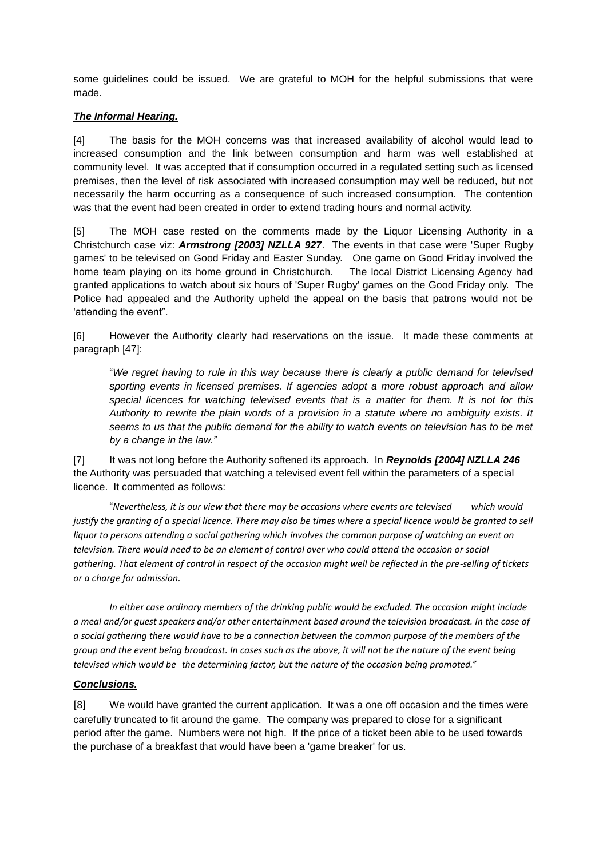some guidelines could be issued. We are grateful to MOH for the helpful submissions that were made.

### *The Informal Hearing.*

[4] The basis for the MOH concerns was that increased availability of alcohol would lead to increased consumption and the link between consumption and harm was well established at community level. It was accepted that if consumption occurred in a regulated setting such as licensed premises, then the level of risk associated with increased consumption may well be reduced, but not necessarily the harm occurring as a consequence of such increased consumption. The contention was that the event had been created in order to extend trading hours and normal activity.

[5] The MOH case rested on the comments made by the Liquor Licensing Authority in a Christchurch case viz: *Armstrong [2003] NZLLA 927*. The events in that case were 'Super Rugby games' to be televised on Good Friday and Easter Sunday. One game on Good Friday involved the home team playing on its home ground in Christchurch. The local District Licensing Agency had granted applications to watch about six hours of 'Super Rugby' games on the Good Friday only. The Police had appealed and the Authority upheld the appeal on the basis that patrons would not be 'attending the event".

[6] However the Authority clearly had reservations on the issue. It made these comments at paragraph [47]:

"*We regret having to rule in this way because there is clearly a public demand for televised sporting events in licensed premises. If agencies adopt a more robust approach and allow special licences for watching televised events that is a matter for them. It is not for this Authority to rewrite the plain words of a provision in a statute where no ambiguity exists. It seems to us that the public demand for the ability to watch events on television has to be met by a change in the law."*

[7] It was not long before the Authority softened its approach. In *Reynolds [2004] NZLLA 246* the Authority was persuaded that watching a televised event fell within the parameters of a special licence. It commented as follows:

"*Nevertheless, it is our view that there may be occasions where events are televised which would justify the granting of a special licence. There may also be times where a special licence would be granted to sell liquor to persons attending a social gathering which involves the common purpose of watching an event on television. There would need to be an element of control over who could attend the occasion or social gathering. That element of control in respect of the occasion might well be reflected in the pre-selling of tickets or a charge for admission.* 

*In either case ordinary members of the drinking public would be excluded. The occasion might include a meal and/or guest speakers and/or other entertainment based around the television broadcast. In the case of a social gathering there would have to be a connection between the common purpose of the members of the group and the event being broadcast. In cases such as the above, it will not be the nature of the event being televised which would be the determining factor, but the nature of the occasion being promoted."* 

#### *Conclusions.*

[8] We would have granted the current application. It was a one off occasion and the times were carefully truncated to fit around the game. The company was prepared to close for a significant period after the game. Numbers were not high. If the price of a ticket been able to be used towards the purchase of a breakfast that would have been a 'game breaker' for us.